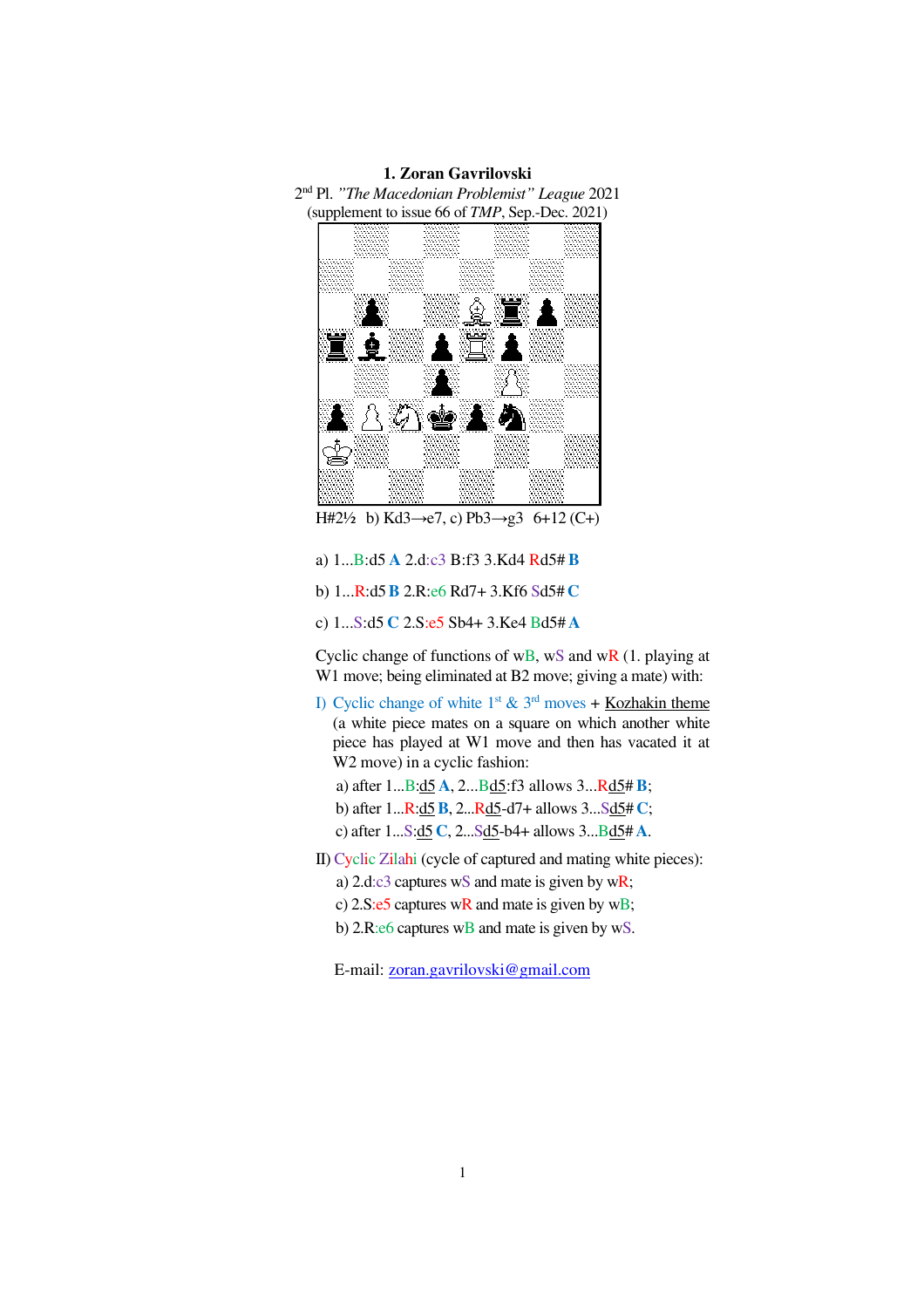## **1. Zoran Gavrilovski**

2 nd Pl. *"The Macedonian Problemist" League* 2021 (supplement to issue 66 of *TMP*, Sep.-Dec. 2021)



H#2½ b) Kd3→e7, c) Pb3→g3 6+12 (C+)

- a) 1...B:d5 **A** 2.d:c3 B:f3 3.Kd4 Rd5# **B**
- b) 1...R:d5**B** 2.R:e6 Rd7+ 3.Kf6 Sd5# **C**
- c) 1...S:d5 **C** 2.S:e5 Sb4+ 3.Ke4 Bd5# **A**

Cyclic change of functions of wB, wS and wR  $(1,$  playing at W1 move; being eliminated at B2 move; giving a mate) with:

- I) Cyclic change of white 1<sup>st</sup> &  $3<sup>rd</sup>$  moves + Kozhakin theme (a white piece mates on a square on which another white piece has played at W1 move and then has vacated it at W2 move) in a cyclic fashion:
	- a) after 1...B:d5 **A**, 2...Bd5:f3 allows 3...Rd5# **B**;
	- b) after 1...R:d5**B**, 2...Rd5-d7+ allows 3...Sd5# **C**;
	- c) after 1...S:d5 **C**, 2...Sd5-b4+ allows 3...Bd5# **A**.
- II) Cyclic Zilahi (cycle of captured and mating white pieces):
	- a) 2.d:c3 captures wS and mate is given by wR;
	- c) 2.S:e5 captures wR and mate is given by wB;
	- b) 2.R:e6 captures wB and mate is given by wS.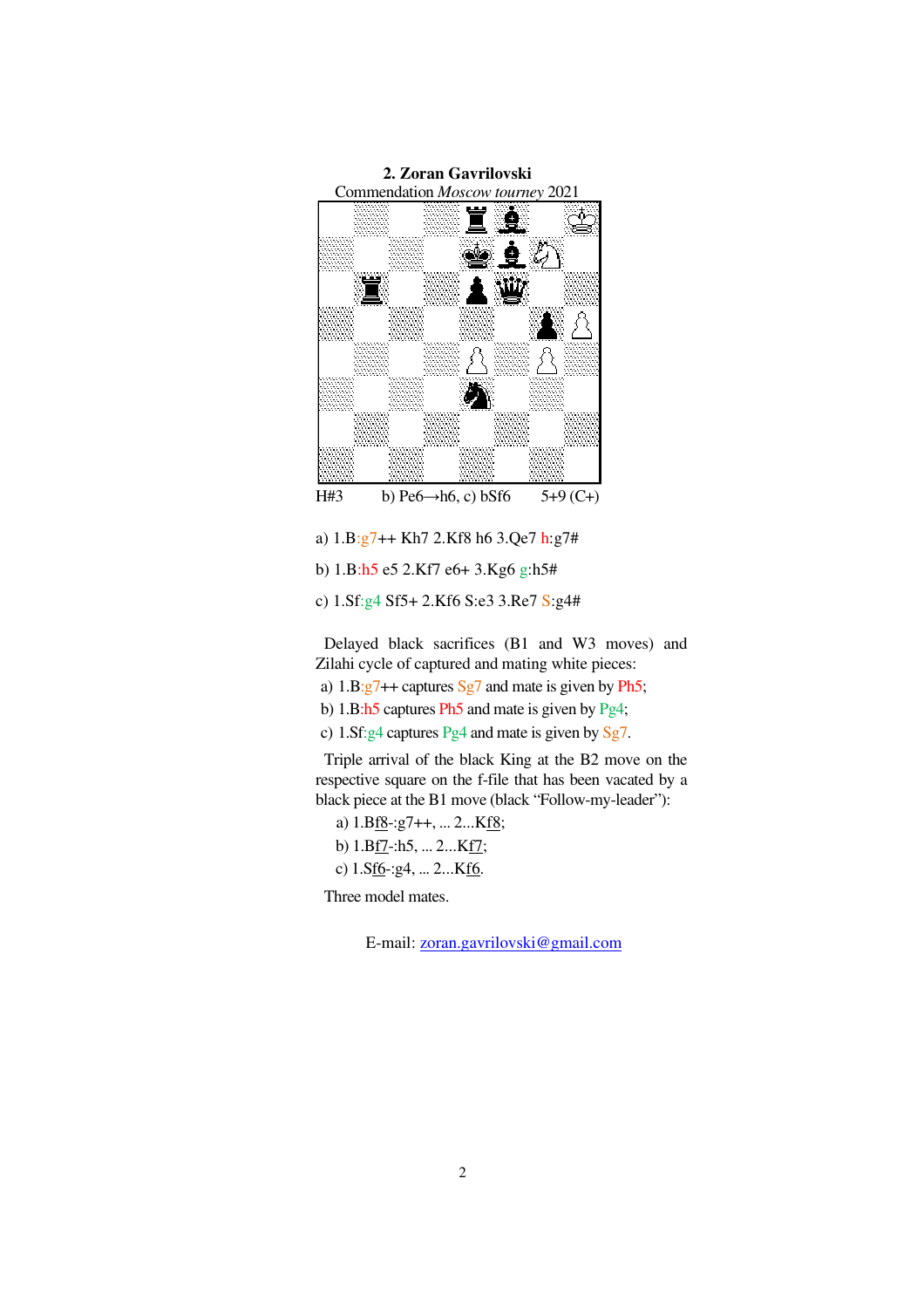

a) 1.B:g7++ Kh7 2.Kf8 h6 3.Qe7 h:g7#

```
b) 1.B:h5 e5 2.Kf7 e6+ 3.Kg6 g:h5#
```
c) 1.Sf:g4 Sf5+ 2.Kf6 S:e3 3.Re7 S:g4#

Delayed black sacrifices (B1 and W3 moves) and Zilahi cycle of captured and mating white pieces:

a)  $1.B:g7++$  captures Sg7 and mate is given by Ph5;

b) 1.B:h5 captures Ph5 and mate is given by Pg4;

c) 1.Sf:g4 captures Pg4 and mate is given by Sg7.

Triple arrival of the black King at the B2 move on the respective square on the f-file that has been vacated by a black piece at the B1 move (black "Follow-my-leader"):

a)  $1.Bf8-(g7++, \ldots 2...Kf8)$ ;

b) 1.Bf7-:h5, ... 2...Kf7;

c) 1.Sf6-:g4, ... 2...Kf6.

Three model mates.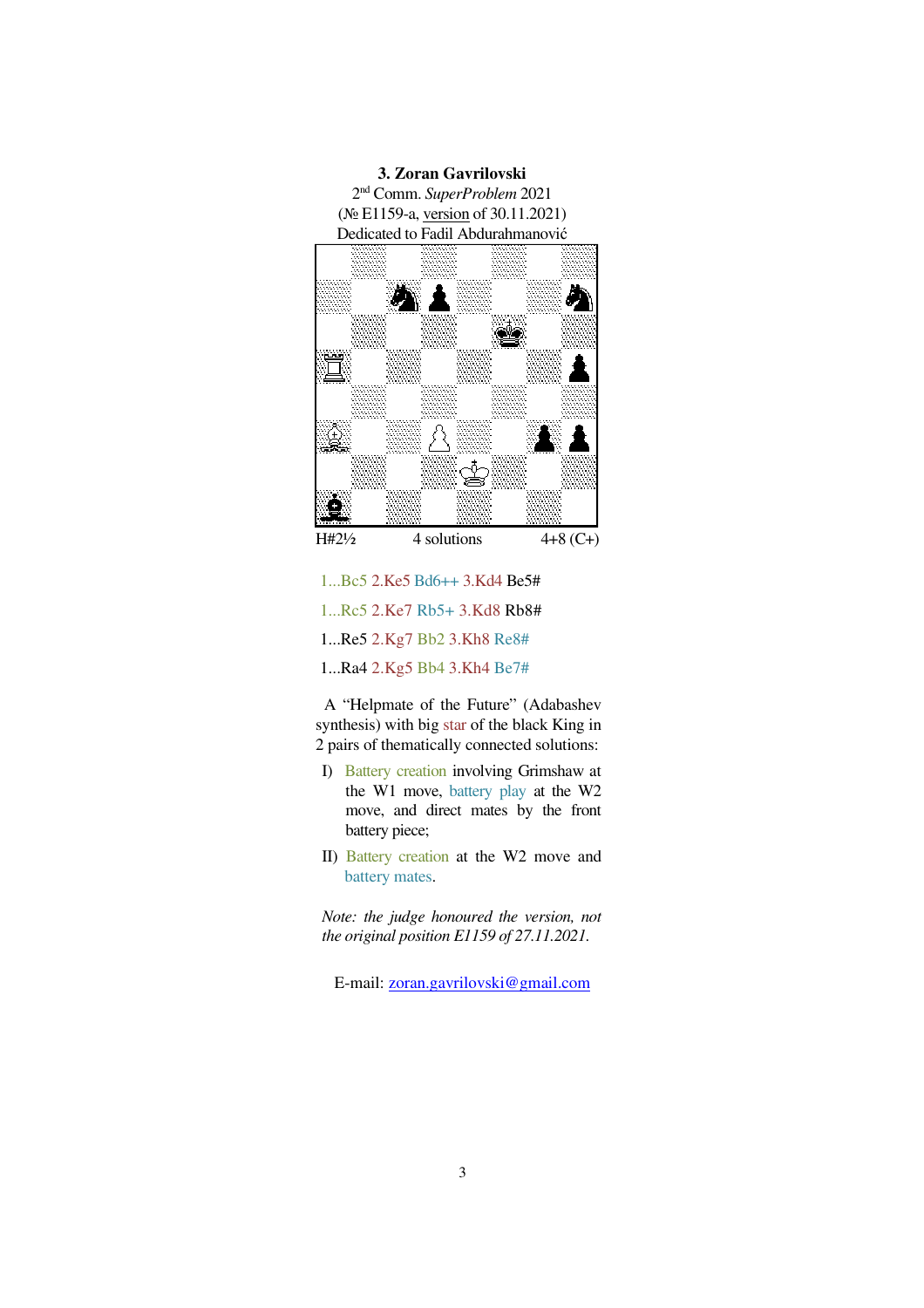

- 1...Bc5 2.Ke5 Bd6++ 3.Kd4 Be5#
- 1...Rc5 2.Ke7 Rb5+ 3.Kd8 Rb8#
- 1...Re5 2.Kg7 Bb2 3.Kh8 Re8#
- 1...Ra4 2.Kg5 Bb4 3.Kh4 Be7#

A "Helpmate of the Future" (Adabashev synthesis) with big star of the black King in 2 pairs of thematically connected solutions:

- I) Battery creation involving Grimshaw at the W1 move, battery play at the W2 move, and direct mates by the front battery piece;
- II) Battery creation at the W2 move and battery mates.

*Note: the judge honoured the version, not the original position E1159 of 27.11.2021.*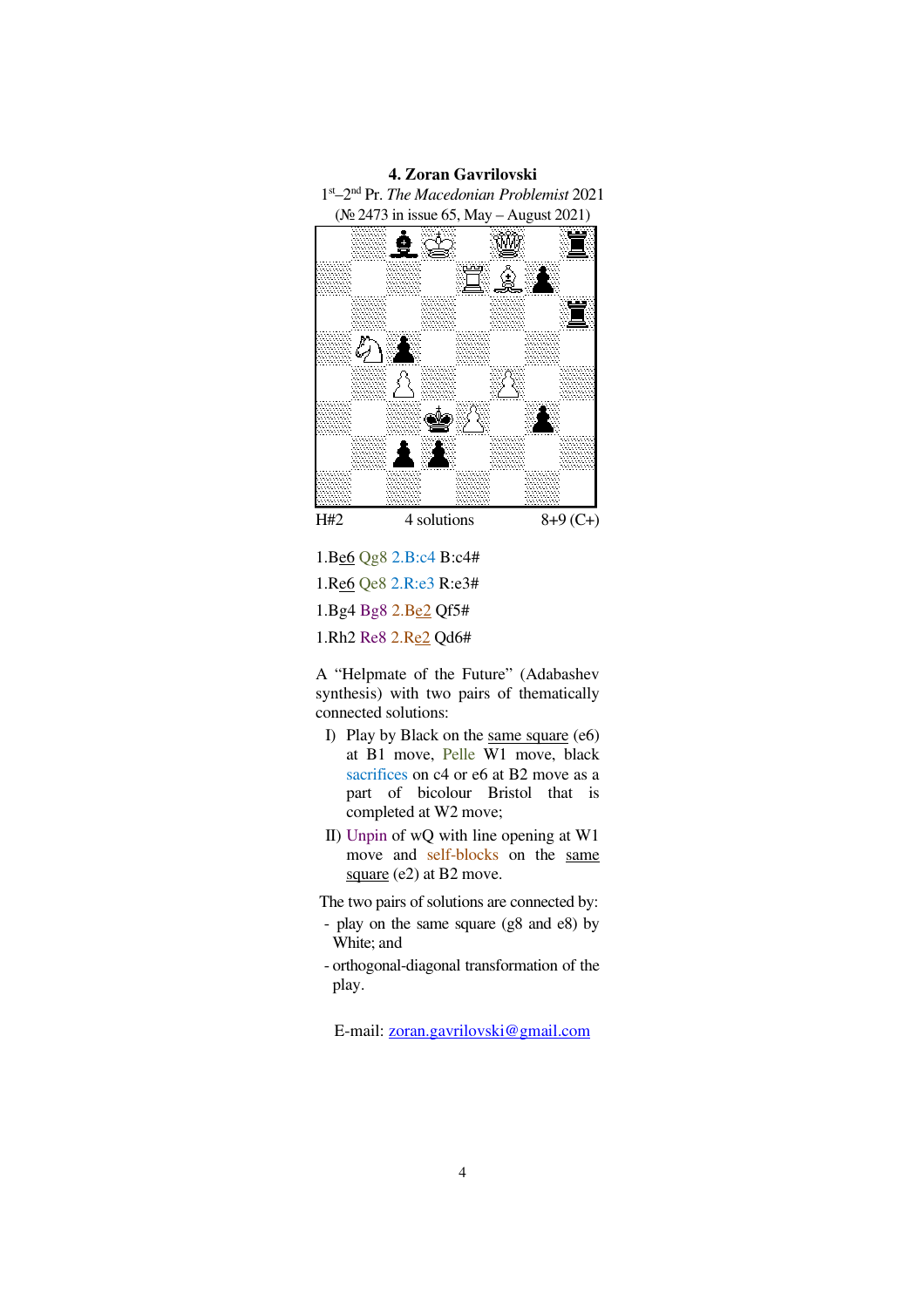

1.Be6 Qg8 2.B:c4 B:c4# 1.Re6 Qe8 2.R:e3 R:e3# 1.Bg4 Bg8 2.Be2 Qf5# 1.Rh2 Re8 2.Re2 Qd6#

A "Helpmate of the Future" (Adabashev synthesis) with two pairs of thematically connected solutions:

- I) Play by Black on the same square (e6) at B1 move, Pelle W1 move, black sacrifices on c4 or e6 at B2 move as a part of bicolour Bristol that is completed at W2 move;
- II) Unpin of wQ with line opening at W1 move and self-blocks on the same square (e2) at B2 move.

The two pairs of solutions are connected by:

- play on the same square (g8 and e8) by White; and
- orthogonal-diagonal transformation of the play.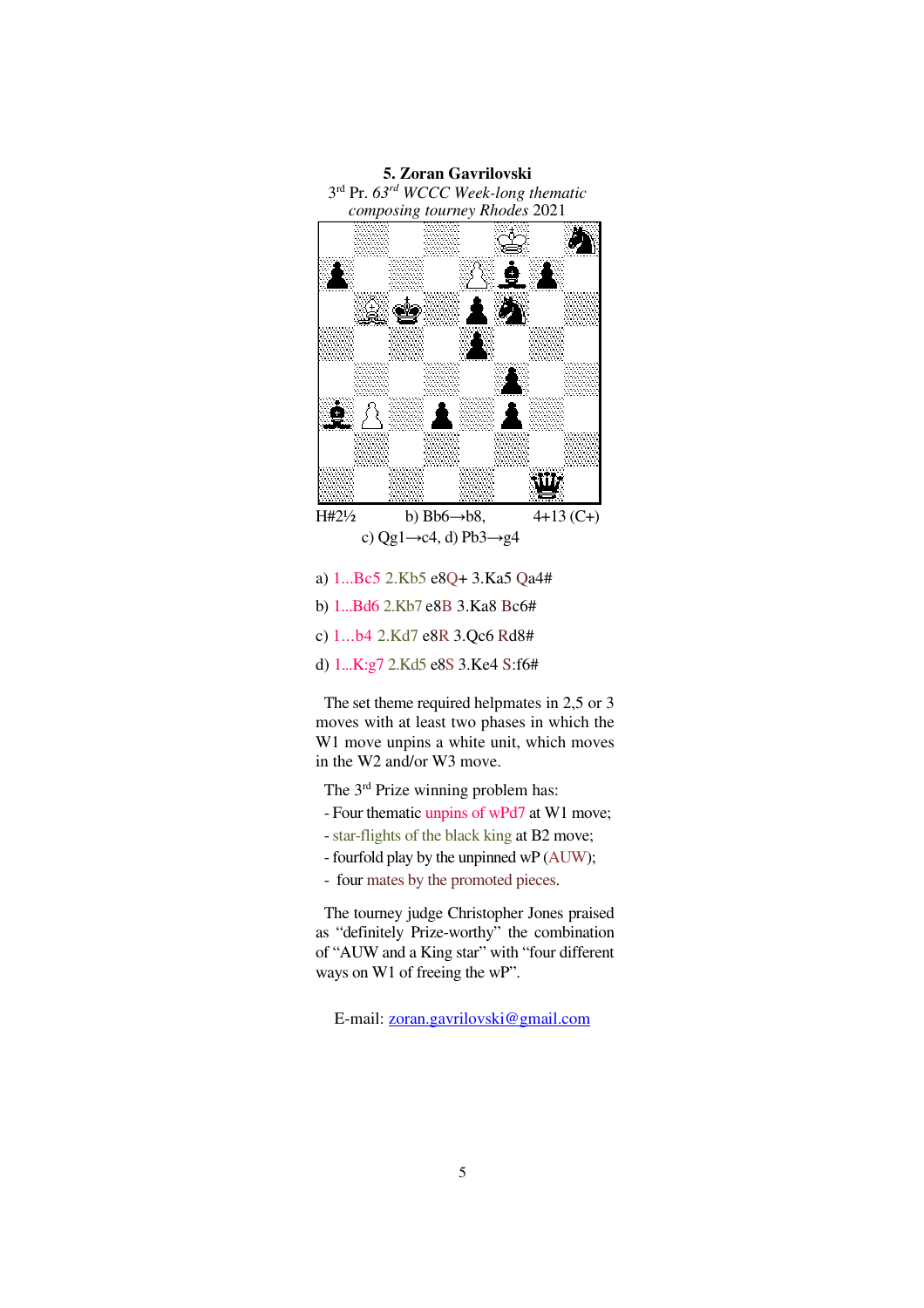

c) Qg1 $\rightarrow$ c4, d) Pb3 $\rightarrow$ g4

- a) 1...Bc5 2.Kb5 e8Q+ 3.Ka5 Qa4#
- b) 1...Bd6 2.Kb7 e8B 3.Ka8 Bc6#
- c) 1...b4 2.Kd7 e8R 3.Qc6 Rd8#

d) 1...K:g7 2.Kd5 e8S 3.Ke4 S:f6#

The set theme required helpmates in 2,5 or 3 moves with at least two phases in which the W1 move unpins a white unit, which moves in the W2 and/or W3 move.

- The 3rd Prize winning problem has:
- Four thematic unpins of wPd7 at W1 move;
- star-flights of the black king at B2 move;
- fourfold play by the unpinned wP (AUW);
- four mates by the promoted pieces.

The tourney judge Christopher Jones praised as "definitely Prize-worthy" the combination of "AUW and a King star" with "four different ways on W1 of freeing the wP".